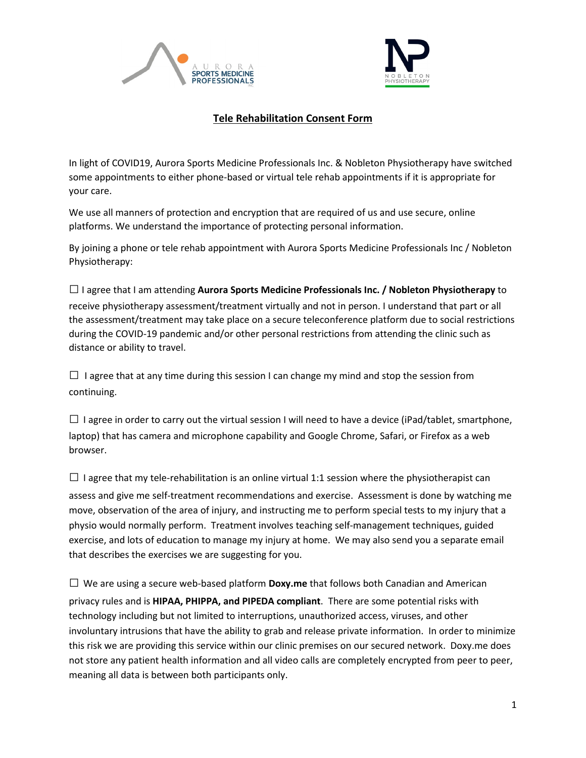



## **Tele Rehabilitation Consent Form**

In light of COVID19, Aurora Sports Medicine Professionals Inc. & Nobleton Physiotherapy have switched some appointments to either phone-based or virtual tele rehab appointments if it is appropriate for your care.

We use all manners of protection and encryption that are required of us and use secure, online platforms. We understand the importance of protecting personal information.

By joining a phone or tele rehab appointment with Aurora Sports Medicine Professionals Inc / Nobleton Physiotherapy:

□I agree that I am attending **Aurora Sports Medicine Professionals Inc. / Nobleton Physiotherapy** to receive physiotherapy assessment/treatment virtually and not in person. I understand that part or all the assessment/treatment may take place on a secure teleconference platform due to social restrictions during the COVID-19 pandemic and/or other personal restrictions from attending the clinic such as distance or ability to travel.

 $\Box$  I agree that at any time during this session I can change my mind and stop the session from continuing.

 $\Box$  I agree in order to carry out the virtual session I will need to have a device (iPad/tablet, smartphone, laptop) that has camera and microphone capability and Google Chrome, Safari, or Firefox as a web browser.

 $\Box$  I agree that my tele-rehabilitation is an online virtual 1:1 session where the physiotherapist can assess and give me self-treatment recommendations and exercise. Assessment is done by watching me move, observation of the area of injury, and instructing me to perform special tests to my injury that a physio would normally perform. Treatment involves teaching self-management techniques, guided exercise, and lots of education to manage my injury at home. We may also send you a separate email that describes the exercises we are suggesting for you.

 $\square$  We are using a secure web-based platform **Doxy.me** that follows both Canadian and American privacy rules and is **HIPAA, PHIPPA, and PIPEDA compliant**. There are some potential risks with technology including but not limited to interruptions, unauthorized access, viruses, and other involuntary intrusions that have the ability to grab and release private information. In order to minimize this risk we are providing this service within our clinic premises on our secured network. Doxy.me does not store any patient health information and all video calls are completely encrypted from peer to peer, meaning all data is between both participants only.